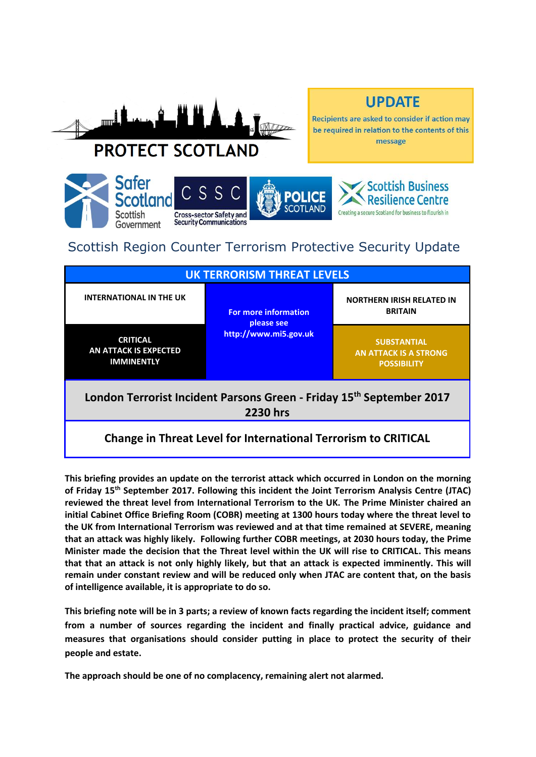

## **UPDATE**

Recipients are asked to consider if action may be required in relation to the contents of this message



# Scottish Region Counter Terrorism Protective Security Update

| <b>UK TERRORISM THREAT LEVELS</b>                                                                   |                                                                    |                                                                          |
|-----------------------------------------------------------------------------------------------------|--------------------------------------------------------------------|--------------------------------------------------------------------------|
| <b>INTERNATIONAL IN THE UK</b>                                                                      | <b>For more information</b><br>please see<br>http://www.mi5.gov.uk | <b>NORTHERN IRISH RELATED IN</b><br><b>BRITAIN</b>                       |
| <b>CRITICAL</b><br>AN ATTACK IS EXPECTED<br><b>IMMINENTLY</b>                                       |                                                                    | <b>SUBSTANTIAL</b><br><b>AN ATTACK IS A STRONG</b><br><b>POSSIBILITY</b> |
| London Terrorist Incident Parsons Green - Friday 15 <sup>th</sup> September 2017<br><b>2230 hrs</b> |                                                                    |                                                                          |
| <b>Change in Threat Level for International Terrorism to CRITICAL</b>                               |                                                                    |                                                                          |

**This briefing provides an update on the terrorist attack which occurred in London on the morning of Friday 15th September 2017. Following this incident the Joint Terrorism Analysis Centre (JTAC) reviewed the threat level from International Terrorism to the UK. The Prime Minister chaired an initial Cabinet Office Briefing Room (COBR) meeting at 1300 hours today where the threat level to the UK from International Terrorism was reviewed and at that time remained at SEVERE, meaning that an attack was highly likely. Following further COBR meetings, at 2030 hours today, the Prime Minister made the decision that the Threat level within the UK will rise to CRITICAL. This means that that an attack is not only highly likely, but that an attack is expected imminently. This will remain under constant review and will be reduced only when JTAC are content that, on the basis of intelligence available, it is appropriate to do so.**

**This briefing note will be in 3 parts; a review of known facts regarding the incident itself; comment from a number of sources regarding the incident and finally practical advice, guidance and measures that organisations should consider putting in place to protect the security of their people and estate.** 

**The approach should be one of no complacency, remaining alert not alarmed.**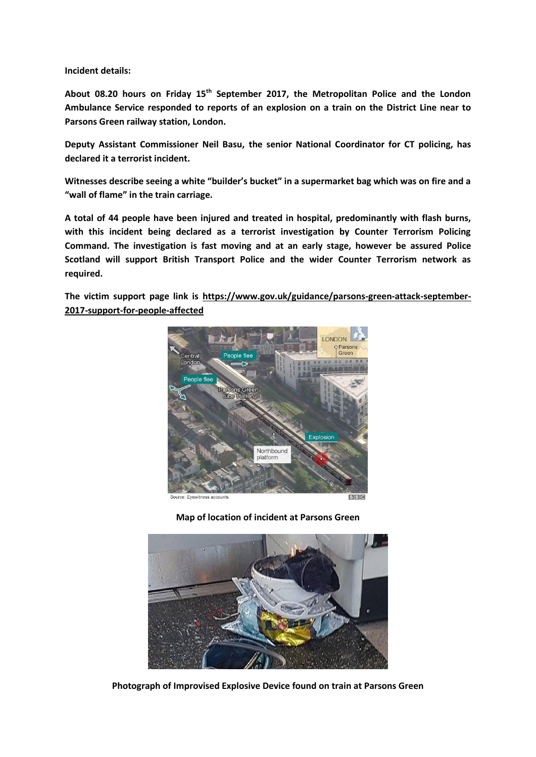**Incident details:**

**About 08.20 hours on Friday 15th September 2017, the Metropolitan Police and the London Ambulance Service responded to reports of an explosion on a train on the District Line near to Parsons Green railway station, London.**

**Deputy Assistant Commissioner Neil Basu, the senior National Coordinator for CT policing, has declared it a terrorist incident.**

**Witnesses describe seeing a white "builder's bucket" in a supermarket bag which was on fire and a "wall of flame" in the train carriage.**

**A total of 44 people have been injured and treated in hospital, predominantly with flash burns, with this incident being declared as a terrorist investigation by Counter Terrorism Policing Command. The investigation is fast moving and at an early stage, however be assured Police Scotland will support British Transport Police and the wider Counter Terrorism network as required.**

**The victim support page link is [https://www.gov.uk/guidance/parsons-green-attack-september-](https://www.gov.uk/guidance/parsons-green-attack-september-2017-support-for-people-affected)[2017-support-for-people-affected](https://www.gov.uk/guidance/parsons-green-attack-september-2017-support-for-people-affected)**



**Map of location of incident at Parsons Green**



**Photograph of Improvised Explosive Device found on train at Parsons Green**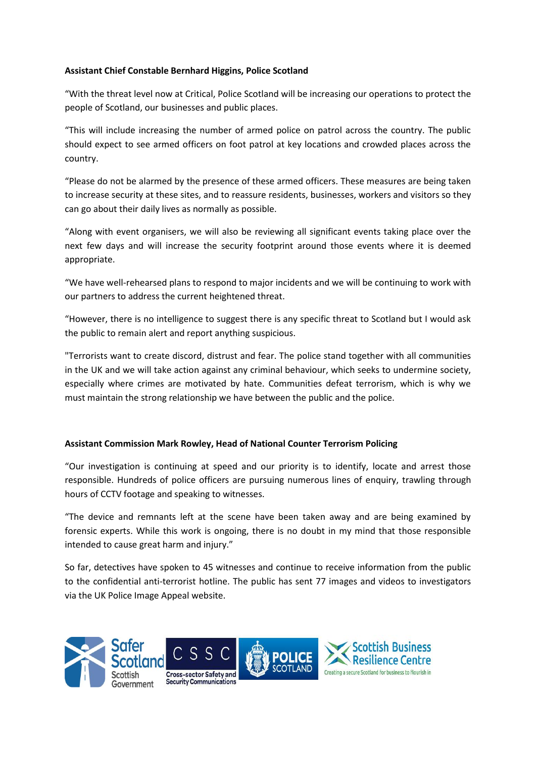#### **Assistant Chief Constable Bernhard Higgins, Police Scotland**

"With the threat level now at Critical, Police Scotland will be increasing our operations to protect the people of Scotland, our businesses and public places.

"This will include increasing the number of armed police on patrol across the country. The public should expect to see armed officers on foot patrol at key locations and crowded places across the country.

"Please do not be alarmed by the presence of these armed officers. These measures are being taken to increase security at these sites, and to reassure residents, businesses, workers and visitors so they can go about their daily lives as normally as possible.

"Along with event organisers, we will also be reviewing all significant events taking place over the next few days and will increase the security footprint around those events where it is deemed appropriate.

"We have well-rehearsed plans to respond to major incidents and we will be continuing to work with our partners to address the current heightened threat.

"However, there is no intelligence to suggest there is any specific threat to Scotland but I would ask the public to remain alert and report anything suspicious.

"Terrorists want to create discord, distrust and fear. The police stand together with all communities in the UK and we will take action against any criminal behaviour, which seeks to undermine society, especially where crimes are motivated by hate. Communities defeat terrorism, which is why we must maintain the strong relationship we have between the public and the police.

### **Assistant Commission Mark Rowley, Head of National Counter Terrorism Policing**

"Our investigation is continuing at speed and our priority is to identify, locate and arrest those responsible. Hundreds of police officers are pursuing numerous lines of enquiry, trawling through hours of CCTV footage and speaking to witnesses.

"The device and remnants left at the scene have been taken away and are being examined by forensic experts. While this work is ongoing, there is no doubt in my mind that those responsible intended to cause great harm and injury."

So far, detectives have spoken to 45 witnesses and continue to receive information from the public to the confidential anti-terrorist hotline. The public has sent 77 images and videos to investigators via the UK Police Image Appeal website.

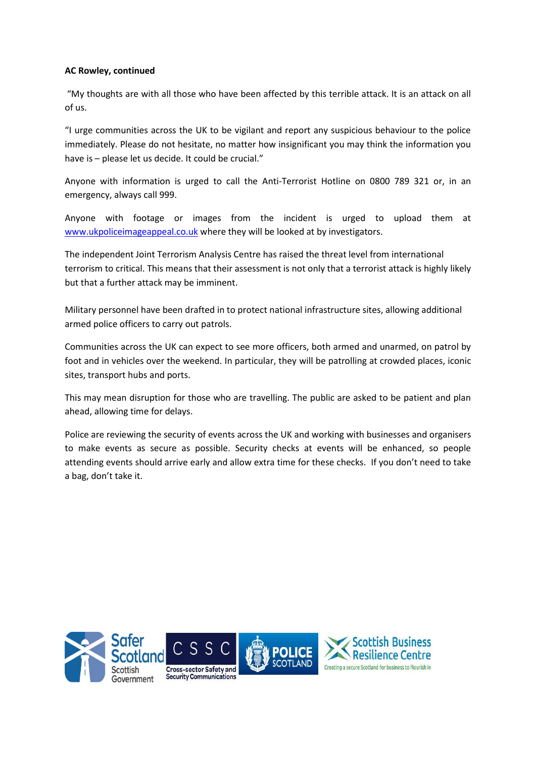#### **AC Rowley, continued**

"My thoughts are with all those who have been affected by this terrible attack. It is an attack on all of us.

"I urge communities across the UK to be vigilant and report any suspicious behaviour to the police immediately. Please do not hesitate, no matter how insignificant you may think the information you have is – please let us decide. It could be crucial."

Anyone with information is urged to call the Anti-Terrorist Hotline on 0800 789 321 or, in an emergency, always call 999.

Anyone with footage or images from the incident is urged to upload them at [www.ukpoliceimageappeal.co.uk](http://www.ukpoliceimageappeal.co.uk/) where they will be looked at by investigators.

The independent Joint Terrorism Analysis Centre has raised the threat level from international terrorism to critical. This means that their assessment is not only that a terrorist attack is highly likely but that a further attack may be imminent.

Military personnel have been drafted in to protect national infrastructure sites, allowing additional armed police officers to carry out patrols.

Communities across the UK can expect to see more officers, both armed and unarmed, on patrol by foot and in vehicles over the weekend. In particular, they will be patrolling at crowded places, iconic sites, transport hubs and ports.

This may mean disruption for those who are travelling. The public are asked to be patient and plan ahead, allowing time for delays.

Police are reviewing the security of events across the UK and working with businesses and organisers to make events as secure as possible. Security checks at events will be enhanced, so people attending events should arrive early and allow extra time for these checks. If you don't need to take a bag, don't take it.

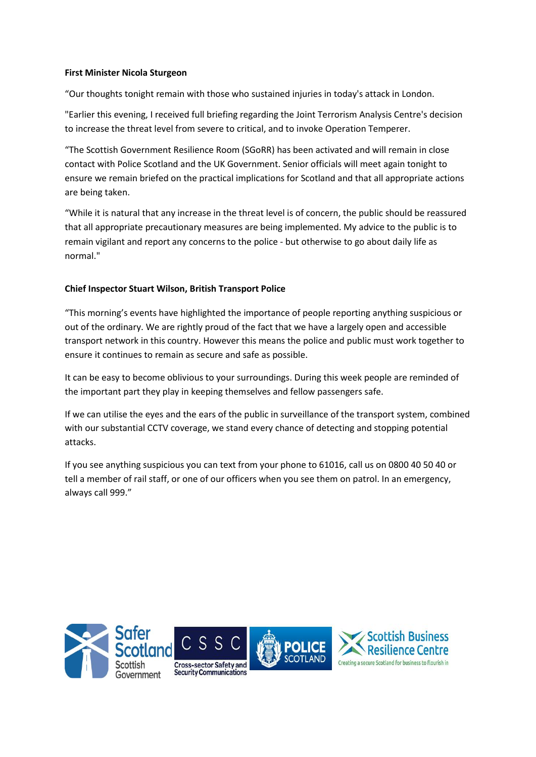#### **First Minister Nicola Sturgeon**

"Our thoughts tonight remain with those who sustained injuries in today's attack in London.

"Earlier this evening, I received full briefing regarding the Joint Terrorism Analysis Centre's decision to increase the threat level from severe to critical, and to invoke Operation Temperer.

"The Scottish Government Resilience Room (SGoRR) has been activated and will remain in close contact with Police Scotland and the UK Government. Senior officials will meet again tonight to ensure we remain briefed on the practical implications for Scotland and that all appropriate actions are being taken.

"While it is natural that any increase in the threat level is of concern, the public should be reassured that all appropriate precautionary measures are being implemented. My advice to the public is to remain vigilant and report any concerns to the police - but otherwise to go about daily life as normal."

#### **Chief Inspector Stuart Wilson, British Transport Police**

"This morning's events have highlighted the importance of people reporting anything suspicious or out of the ordinary. We are rightly proud of the fact that we have a largely open and accessible transport network in this country. However this means the police and public must work together to ensure it continues to remain as secure and safe as possible.

It can be easy to become oblivious to your surroundings. During this week people are reminded of the important part they play in keeping themselves and fellow passengers safe.

If we can utilise the eyes and the ears of the public in surveillance of the transport system, combined with our substantial CCTV coverage, we stand every chance of detecting and stopping potential attacks.

If you see anything suspicious you can text from your phone to 61016, call us on 0800 40 50 40 or tell a member of rail staff, or one of our officers when you see them on patrol. In an emergency, always call 999."

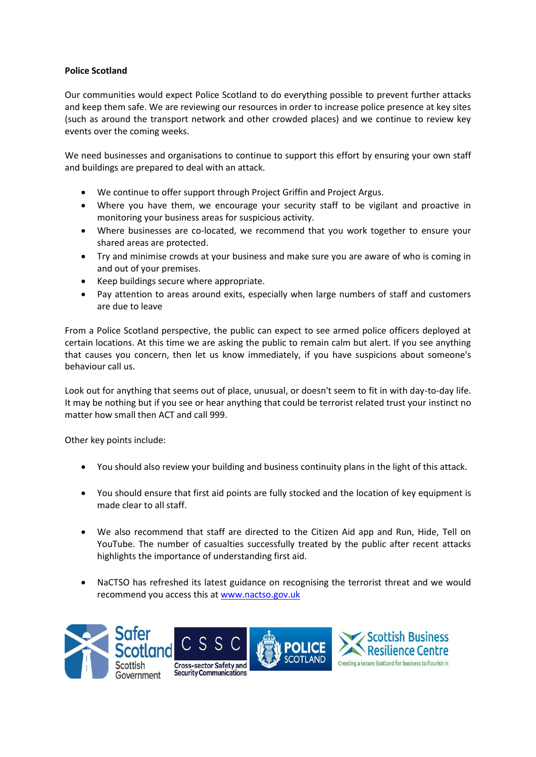#### **Police Scotland**

Our communities would expect Police Scotland to do everything possible to prevent further attacks and keep them safe. We are reviewing our resources in order to increase police presence at key sites (such as around the transport network and other crowded places) and we continue to review key events over the coming weeks.

We need businesses and organisations to continue to support this effort by ensuring your own staff and buildings are prepared to deal with an attack.

- We continue to offer support through Project Griffin and Project Argus.
- Where you have them, we encourage your security staff to be vigilant and proactive in monitoring your business areas for suspicious activity.
- Where businesses are co-located, we recommend that you work together to ensure your shared areas are protected.
- Try and minimise crowds at your business and make sure you are aware of who is coming in and out of your premises.
- Keep buildings secure where appropriate.
- Pay attention to areas around exits, especially when large numbers of staff and customers are due to leave

From a Police Scotland perspective, the public can expect to see armed police officers deployed at certain locations. At this time we are asking the public to remain calm but alert. If you see anything that causes you concern, then let us know immediately, if you have suspicions about someone's behaviour call us.

Look out for anything that seems out of place, unusual, or doesn't seem to fit in with day-to-day life. It may be nothing but if you see or hear anything that could be terrorist related trust your instinct no matter how small then ACT and call 999.

Other key points include:

- You should also review your building and business continuity plans in the light of this attack.
- You should ensure that first aid points are fully stocked and the location of key equipment is made clear to all staff.
- We also recommend that staff are directed to the Citizen Aid app and Run, Hide, Tell on YouTube. The number of casualties successfully treated by the public after recent attacks highlights the importance of understanding first aid.
- NaCTSO has refreshed its latest guidance on recognising the terrorist threat and we would recommend you access this at [www.nactso.gov.uk](http://www.nactso.gov.uk/)

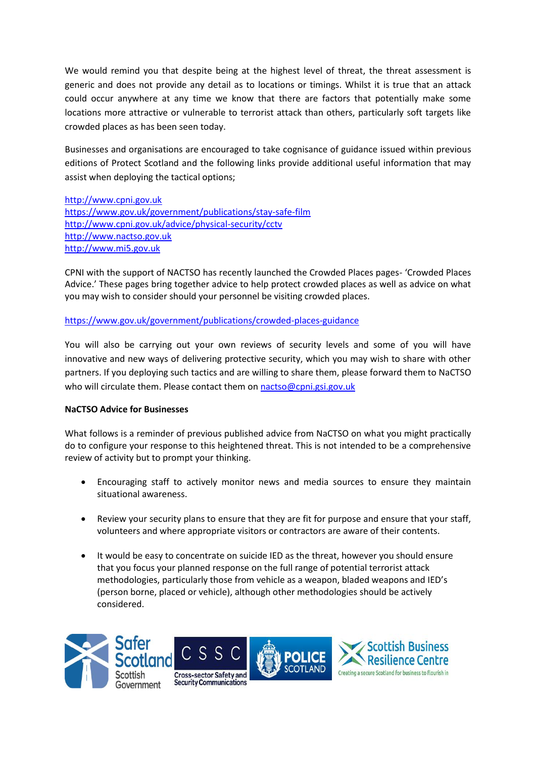We would remind you that despite being at the highest level of threat, the threat assessment is generic and does not provide any detail as to locations or timings. Whilst it is true that an attack could occur anywhere at any time we know that there are factors that potentially make some locations more attractive or vulnerable to terrorist attack than others, particularly soft targets like crowded places as has been seen today.

Businesses and organisations are encouraged to take cognisance of guidance issued within previous editions of Protect Scotland and the following links provide additional useful information that may assist when deploying the tactical options;

[http://www.cpni.gov.uk](http://www.cpni.gov.uk/)  <https://www.gov.uk/government/publications/stay-safe-film> <http://www.cpni.gov.uk/advice/physical-security/cctv> [http://www.nactso.gov.uk](http://www.nactso.gov.uk/)  [http://www.mi5.gov.uk](http://www.mi5.gov.uk/) 

CPNI with the support of NACTSO has recently launched the Crowded Places pages- 'Crowded Places Advice.' These pages bring together advice to help protect crowded places as well as advice on what you may wish to consider should your personnel be visiting crowded places.

<https://www.gov.uk/government/publications/crowded-places-guidance>

You will also be carrying out your own reviews of security levels and some of you will have innovative and new ways of delivering protective security, which you may wish to share with other partners. If you deploying such tactics and are willing to share them, please forward them to NaCTSO who will circulate them. Please contact them on [nactso@cpni.gsi.gov.uk](mailto:nactso@cpni.gsi.gov.uk)

### **NaCTSO Advice for Businesses**

What follows is a reminder of previous published advice from NaCTSO on what you might practically do to configure your response to this heightened threat. This is not intended to be a comprehensive review of activity but to prompt your thinking.

- Encouraging staff to actively monitor news and media sources to ensure they maintain situational awareness.
- Review your security plans to ensure that they are fit for purpose and ensure that your staff, volunteers and where appropriate visitors or contractors are aware of their contents.
- It would be easy to concentrate on suicide IED as the threat, however you should ensure that you focus your planned response on the full range of potential terrorist attack methodologies, particularly those from vehicle as a weapon, bladed weapons and IED's (person borne, placed or vehicle), although other methodologies should be actively considered.

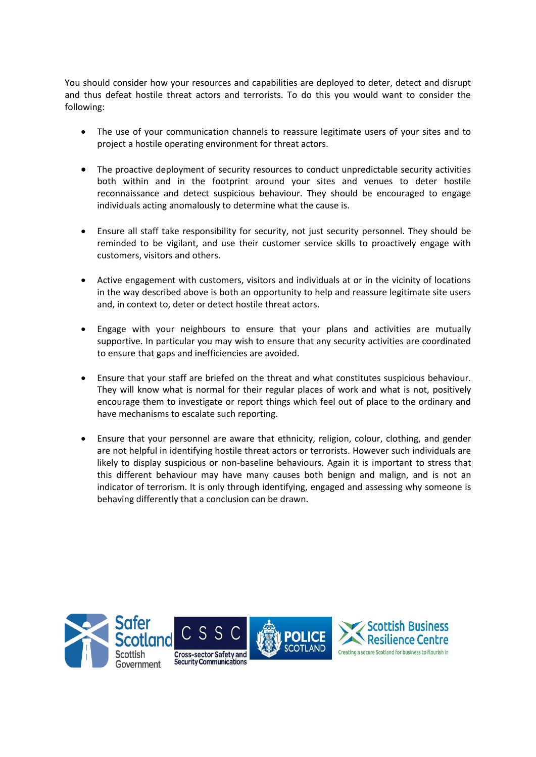You should consider how your resources and capabilities are deployed to deter, detect and disrupt and thus defeat hostile threat actors and terrorists. To do this you would want to consider the following:

- The use of your communication channels to reassure legitimate users of your sites and to project a hostile operating environment for threat actors.
- The proactive deployment of security resources to conduct unpredictable security activities both within and in the footprint around your sites and venues to deter hostile reconnaissance and detect suspicious behaviour. They should be encouraged to engage individuals acting anomalously to determine what the cause is.
- Ensure all staff take responsibility for security, not just security personnel. They should be reminded to be vigilant, and use their customer service skills to proactively engage with customers, visitors and others.
- Active engagement with customers, visitors and individuals at or in the vicinity of locations in the way described above is both an opportunity to help and reassure legitimate site users and, in context to, deter or detect hostile threat actors.
- Engage with your neighbours to ensure that your plans and activities are mutually supportive. In particular you may wish to ensure that any security activities are coordinated to ensure that gaps and inefficiencies are avoided.
- Ensure that your staff are briefed on the threat and what constitutes suspicious behaviour. They will know what is normal for their regular places of work and what is not, positively encourage them to investigate or report things which feel out of place to the ordinary and have mechanisms to escalate such reporting.
- Ensure that your personnel are aware that ethnicity, religion, colour, clothing, and gender are not helpful in identifying hostile threat actors or terrorists. However such individuals are likely to display suspicious or non-baseline behaviours. Again it is important to stress that this different behaviour may have many causes both benign and malign, and is not an indicator of terrorism. It is only through identifying, engaged and assessing why someone is behaving differently that a conclusion can be drawn.

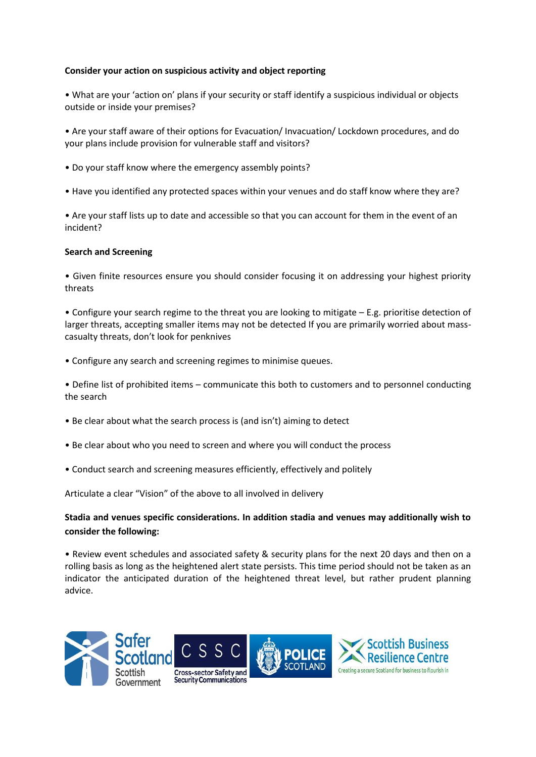#### **Consider your action on suspicious activity and object reporting**

• What are your 'action on' plans if your security or staff identify a suspicious individual or objects outside or inside your premises?

• Are your staff aware of their options for Evacuation/ Invacuation/ Lockdown procedures, and do your plans include provision for vulnerable staff and visitors?

- Do your staff know where the emergency assembly points?
- Have you identified any protected spaces within your venues and do staff know where they are?

• Are your staff lists up to date and accessible so that you can account for them in the event of an incident?

#### **Search and Screening**

• Given finite resources ensure you should consider focusing it on addressing your highest priority threats

• Configure your search regime to the threat you are looking to mitigate – E.g. prioritise detection of larger threats, accepting smaller items may not be detected If you are primarily worried about masscasualty threats, don't look for penknives

• Configure any search and screening regimes to minimise queues.

• Define list of prohibited items – communicate this both to customers and to personnel conducting the search

- Be clear about what the search process is (and isn't) aiming to detect
- Be clear about who you need to screen and where you will conduct the process
- Conduct search and screening measures efficiently, effectively and politely

Articulate a clear "Vision" of the above to all involved in delivery

#### **Stadia and venues specific considerations. In addition stadia and venues may additionally wish to consider the following:**

• Review event schedules and associated safety & security plans for the next 20 days and then on a rolling basis as long as the heightened alert state persists. This time period should not be taken as an indicator the anticipated duration of the heightened threat level, but rather prudent planning advice.

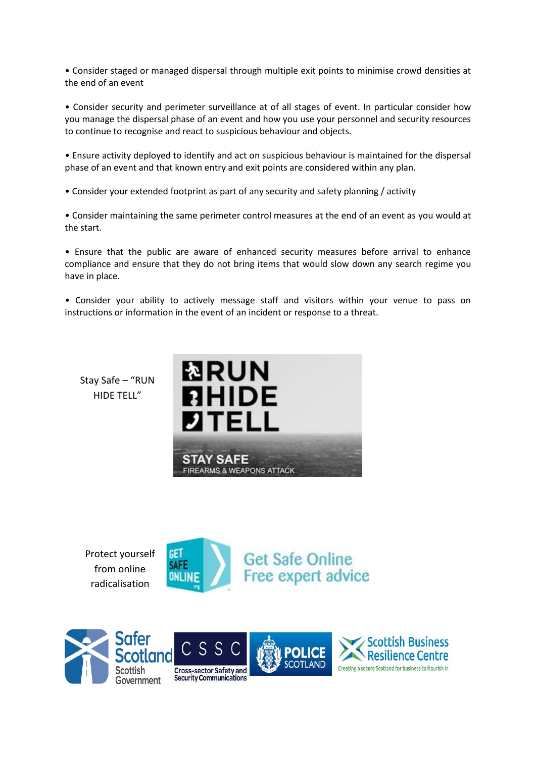• Consider staged or managed dispersal through multiple exit points to minimise crowd densities at the end of an event

• Consider security and perimeter surveillance at of all stages of event. In particular consider how you manage the dispersal phase of an event and how you use your personnel and security resources to continue to recognise and react to suspicious behaviour and objects.

• Ensure activity deployed to identify and act on suspicious behaviour is maintained for the dispersal phase of an event and that known entry and exit points are considered within any plan.

• Consider your extended footprint as part of any security and safety planning / activity

• Consider maintaining the same perimeter control measures at the end of an event as you would at the start.

• Ensure that the public are aware of enhanced security measures before arrival to enhance compliance and ensure that they do not bring items that would slow down any search regime you have in place.

• Consider your ability to actively message staff and visitors within your venue to pass on instructions or information in the event of an incident or response to a threat.

Stay Safe – "RUN HIDE TELL"



Protect yourself from online radicalisation